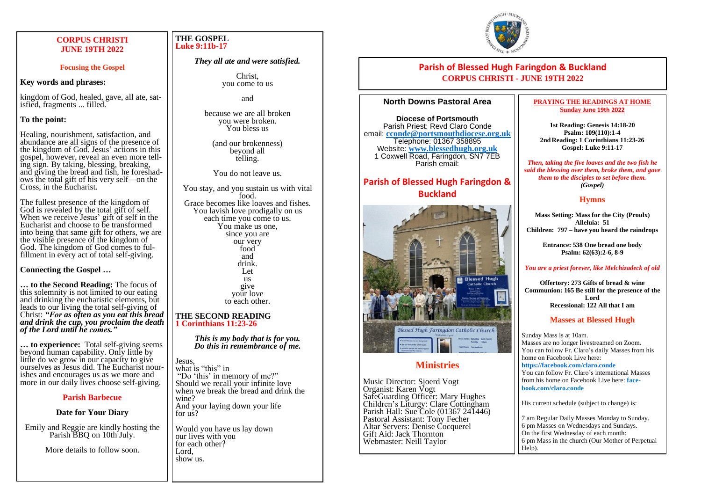#### **CORPUS CHRISTI JUNE 19TH 2022**

#### **Focusing the Gospel**

#### **Key words and phrases:**

kingdom of God, healed, gave, all ate, satisfied, fragments ... filled.

#### **To the point:**

Healing, nourishment, satisfaction, and abundance are all signs of the presence of the kingdom of God. Jesus' actions in this gospel, however, reveal an even more telling sign. By taking, blessing, breaking, and giving the bread and fish, he foreshadows the total gift of his very self—on the Cross, in the Eucharist.

The fullest presence of the kingdom of God is revealed by the total gift of self. When we receive Jesus' gift of self in the Eucharist and choose to be transformed into being that same gift for others, we are the visible presence of the kingdom of God. The kingdom of God comes to fulfillment in every act of total self-giving.

**Connecting the Gospel …**

**… to the Second Reading:** The focus of this solemnity is not limited to our eating and drinking the eucharistic elements, but leads to our living the total self-giving of Christ: *"For as often as you eat this bread and drink the cup, you proclaim the death of the Lord until he comes."*

**… to experience:** Total self-giving seems beyond human capability. Only little by little do we grow in our capacity to give ourselves as Jesus did. The Eucharist nourishes and encourages us as we more and more in our daily lives choose self-giving.

#### **Parish Barbecue**

#### **Date for Your Diary**

Emily and Reggie are kindly hosting the Parish BBQ on 10th July.

More details to follow soon.

#### **THE GOSPEL Luke 9:11b-17**

#### *They all ate and were satisfied.*

Christ, you come to us

and

because we are all broken you were broken. You bless us

(and our brokenness) beyond all telling.

You do not leave us.

You stay, and you sustain us with vital food. Grace becomes like loaves and fishes. You lavish love prodigally on us each time you come to us. You make us one, since you are our very food and drink. Let us give your love to each other.

#### **THE SECOND READING 1 Corinthians 11:23-26**

*This is my body that is for you. Do this in remembrance of me.*

Jesus, what is "this" in "Do 'this' in memory of me?" Should we recall your infinite love when we break the bread and drink the wine? And your laying down your life for us?

Would you have us lay down our lives with you for each other? Lord, show us.



## **Parish of Blessed Hugh Faringdon & Buckland CORPUS CHRISTI - JUNE 19TH 2022**

#### **North Downs Pastoral Area**

**Diocese of Portsmouth** Parish Priest: Revd Claro Conde email: **[cconde@portsmouthdiocese.org.uk](mailto:cconde@portsmouthdiocese.org.uk)** Telephone: 01367 358895 Website: **www.blessedhugh.org.uk** 1 Coxwell Road, Faringdon, SN7 7EB Parish email:

# **Parish of Blessed Hugh Faringdon & Buckland**



## **Ministries**

Music Director: Sjoerd Vogt Organist: Karen Vogt SafeGuarding Officer: Mary Hughes Children's Liturgy: Clare Cottingham Parish Hall: Sue Cole (01367 241446) Pastoral Assistant: Tony Fecher Altar Servers: Denise Cocquerel Gift Aid: Jack Thornton Webmaster: Neill Taylor

#### **PRAYING THE READINGS AT HOME Sunday June 19th 2022**

**1st Reading: Genesis 14:18-20 Psalm: 109(110):1-4 2ndReading: 1 Corinthians 11:23-26 Gospel: Luke 9:11-17**

*Then, taking the five loaves and the two fish he said the blessing over them, broke them, and gave them to the disciples to set before them. (Gospel)*

#### **Hymns**

**Mass Setting: Mass for the City (Proulx) Alleluia: 51 Children: 797 – have you heard the raindrops**

> **Entrance: 538 One bread one body Psalm: 62(63):2-6, 8-9**

#### *You are a priest forever, like Melchizadeck of old*

**Offertory: 273 Gifts of bread & wine Communion: 165 Be still for the presence of the Lord Recessional: 122 All that I am**

#### **Masses at Blessed Hugh**

Sunday Mass is at 10am. Masses are no longer livestreamed on Zoom. You can follow Fr. Claro's daily Masses from his home on Facebook Live here:

**https://facebook.com/claro.conde** You can follow Fr. Claro's international Masses from his home on Facebook Live here: **facebook.com/claro.conde**

His current schedule (subject to change) is:

7 am Regular Daily Masses Monday to Sunday. 6 pm Masses on Wednesdays and Sundays. On the first Wednesday of each month: 6 pm Mass in the church (Our Mother of Perpetual Help).